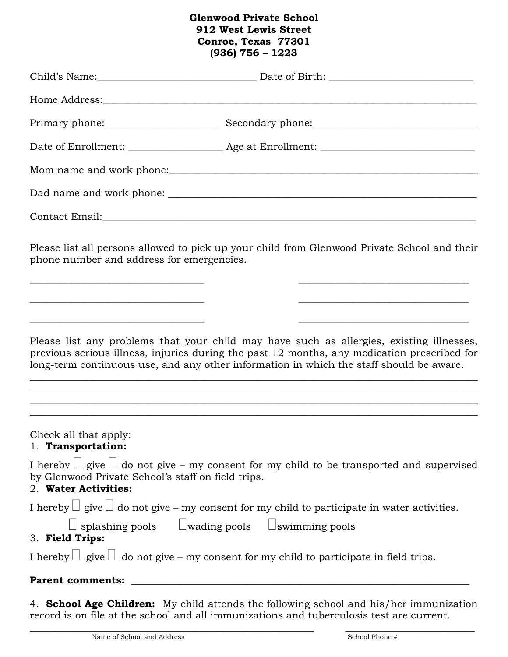## **Glenwood Private School 912 West Lewis Street Conroe, Texas 77301 (936) 756 – 1223**

|                                                                                                                                                                                             | Primary phone: Secondary phone: Secondary example and the secondary phone:                                                                                                                                                                                                                                                                                                                                  |
|---------------------------------------------------------------------------------------------------------------------------------------------------------------------------------------------|-------------------------------------------------------------------------------------------------------------------------------------------------------------------------------------------------------------------------------------------------------------------------------------------------------------------------------------------------------------------------------------------------------------|
|                                                                                                                                                                                             |                                                                                                                                                                                                                                                                                                                                                                                                             |
|                                                                                                                                                                                             |                                                                                                                                                                                                                                                                                                                                                                                                             |
|                                                                                                                                                                                             |                                                                                                                                                                                                                                                                                                                                                                                                             |
| Contact Email: Note and the Contact Email:                                                                                                                                                  |                                                                                                                                                                                                                                                                                                                                                                                                             |
| phone number and address for emergencies.                                                                                                                                                   | Please list all persons allowed to pick up your child from Glenwood Private School and their                                                                                                                                                                                                                                                                                                                |
| <u> 1980 - Johann Barn, mars an t-Amerikaansk politiker (* 1908)</u><br><u> 1989 - Johann Barbara, margaret e popularista e popularista e popularista e popularista e popularista e pop</u> | <u> 1989 - Johann Barbara, margaret eta biztanleria (h. 1989).</u>                                                                                                                                                                                                                                                                                                                                          |
|                                                                                                                                                                                             | Please list any problems that your child may have such as allergies, existing illnesses,<br>previous serious illness, injuries during the past 12 months, any medication prescribed for<br>long-term continuous use, and any other information in which the staff should be aware.<br><u> 1989 - Johann Harry Harry Harry Harry Harry Harry Harry Harry Harry Harry Harry Harry Harry Harry Harry Harry</u> |
| Check all that apply:<br>1. Transportation:                                                                                                                                                 |                                                                                                                                                                                                                                                                                                                                                                                                             |
| by Glenwood Private School's staff on field trips.<br>2. Water Activities:                                                                                                                  | I hereby $\Box$ give $\Box$ do not give – my consent for my child to be transported and supervised                                                                                                                                                                                                                                                                                                          |
|                                                                                                                                                                                             | I hereby $\Box$ give $\Box$ do not give – my consent for my child to participate in water activities.                                                                                                                                                                                                                                                                                                       |
| $\Box$ splashing pools $\Box$ wading pools $\Box$ swimming pools<br>3. Field Trips:                                                                                                         |                                                                                                                                                                                                                                                                                                                                                                                                             |
|                                                                                                                                                                                             | I hereby $\Box$ give $\Box$ do not give – my consent for my child to participate in field trips.                                                                                                                                                                                                                                                                                                            |
| <b>Parent comments:</b>                                                                                                                                                                     |                                                                                                                                                                                                                                                                                                                                                                                                             |
|                                                                                                                                                                                             | 4. School Age Children: My child attends the following school and his/her immunization<br>record is on file at the school and all immunizations and tuberculosis test are current.                                                                                                                                                                                                                          |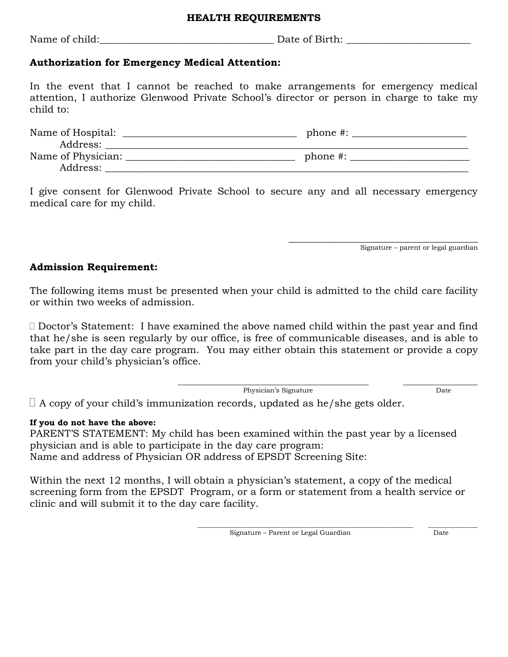#### **HEALTH REQUIREMENTS**

Name of child:\_\_\_\_\_\_\_\_\_\_\_\_\_\_\_\_\_\_\_\_\_\_\_\_\_\_\_\_\_\_\_\_\_\_\_ Date of Birth: \_\_\_\_\_\_\_\_\_\_\_\_\_\_\_\_\_\_\_\_\_\_\_\_\_

### **Authorization for Emergency Medical Attention:**

In the event that I cannot be reached to make arrangements for emergency medical attention, I authorize Glenwood Private School's director or person in charge to take my child to:

| Name of Hospital:  | phone $\#$ : |
|--------------------|--------------|
| Address:           |              |
| Name of Physician: | phone $\#$ : |
| Address:           |              |

I give consent for Glenwood Private School to secure any and all necessary emergency medical care for my child.

Signature – parent or legal guardian

 $\frac{1}{2}$  , and the set of the set of the set of the set of the set of the set of the set of the set of the set of the set of the set of the set of the set of the set of the set of the set of the set of the set of the set

#### **Admission Requirement:**

The following items must be presented when your child is admitted to the child care facility or within two weeks of admission.

 Doctor's Statement: I have examined the above named child within the past year and find that he/she is seen regularly by our office, is free of communicable diseases, and is able to take part in the day care program. You may either obtain this statement or provide a copy from your child's physician's office.

> \_\_\_\_\_\_\_\_\_\_\_\_\_\_\_\_\_\_\_\_\_\_\_\_\_\_\_\_\_\_\_\_\_\_\_\_\_\_\_\_\_\_\_\_\_\_ \_\_\_\_\_\_\_\_\_\_\_\_\_\_\_\_\_\_ Physician's Signature Date

 $\Box$  A copy of your child's immunization records, updated as he/she gets older.

#### **If you do not have the above:**

PARENT'S STATEMENT: My child has been examined within the past year by a licensed physician and is able to participate in the day care program: Name and address of Physician OR address of EPSDT Screening Site:

Within the next 12 months, I will obtain a physician's statement, a copy of the medical screening form from the EPSDT Program, or a form or statement from a health service or clinic and will submit it to the day care facility.

Signature – Parent or Legal Guardian Date

\_\_\_\_\_\_\_\_\_\_\_\_\_\_\_\_\_\_\_\_\_\_\_\_\_\_\_\_\_\_\_\_\_\_\_\_\_\_\_\_\_\_\_\_\_\_\_\_\_\_\_\_\_\_\_\_\_\_\_\_\_\_\_\_\_ \_\_\_\_\_\_\_\_\_\_\_\_\_\_\_